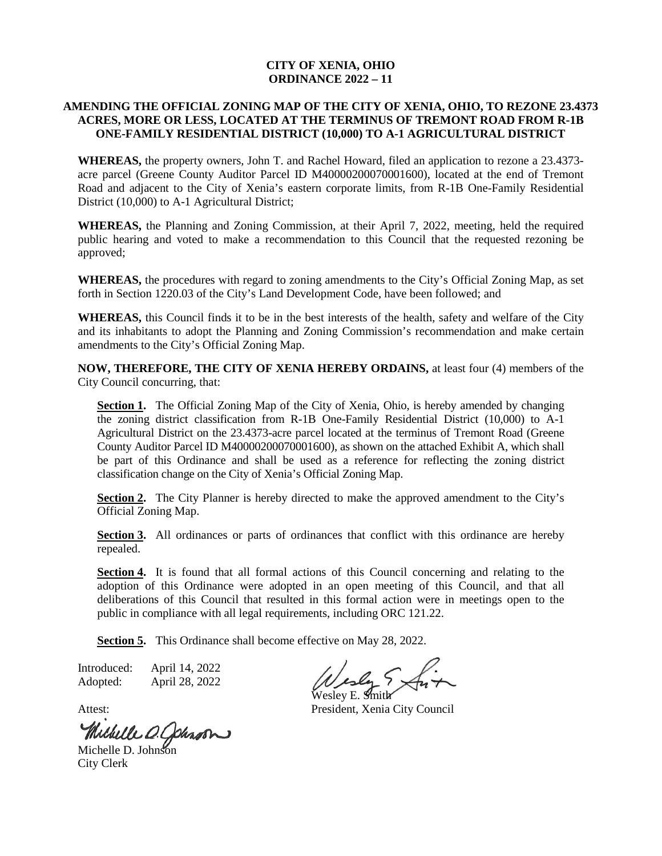## **CITY OF XENIA, OHIO ORDINANCE 2022 – 11**

## **AMENDING THE OFFICIAL ZONING MAP OF THE CITY OF XENIA, OHIO, TO REZONE 23.4373 ACRES, MORE OR LESS, LOCATED AT THE TERMINUS OF TREMONT ROAD FROM R-1B ONE-FAMILY RESIDENTIAL DISTRICT (10,000) TO A-1 AGRICULTURAL DISTRICT**

**WHEREAS,** the property owners, John T. and Rachel Howard, filed an application to rezone a 23.4373 acre parcel (Greene County Auditor Parcel ID M40000200070001600), located at the end of Tremont Road and adjacent to the City of Xenia's eastern corporate limits, from R-1B One-Family Residential District (10,000) to A-1 Agricultural District;

**WHEREAS,** the Planning and Zoning Commission, at their April 7, 2022, meeting, held the required public hearing and voted to make a recommendation to this Council that the requested rezoning be approved;

**WHEREAS,** the procedures with regard to zoning amendments to the City's Official Zoning Map, as set forth in Section 1220.03 of the City's Land Development Code, have been followed; and

**WHEREAS,** this Council finds it to be in the best interests of the health, safety and welfare of the City and its inhabitants to adopt the Planning and Zoning Commission's recommendation and make certain amendments to the City's Official Zoning Map.

**NOW, THEREFORE, THE CITY OF XENIA HEREBY ORDAINS,** at least four (4) members of the City Council concurring, that:

**Section 1.** The Official Zoning Map of the City of Xenia, Ohio, is hereby amended by changing the zoning district classification from R-1B One-Family Residential District (10,000) to A-1 Agricultural District on the 23.4373-acre parcel located at the terminus of Tremont Road (Greene County Auditor Parcel ID M40000200070001600), as shown on the attached Exhibit A, which shall be part of this Ordinance and shall be used as a reference for reflecting the zoning district classification change on the City of Xenia's Official Zoning Map.

**Section 2.** The City Planner is hereby directed to make the approved amendment to the City's Official Zoning Map.

Section 3. All ordinances or parts of ordinances that conflict with this ordinance are hereby repealed.

**Section 4.** It is found that all formal actions of this Council concerning and relating to the adoption of this Ordinance were adopted in an open meeting of this Council, and that all deliberations of this Council that resulted in this formal action were in meetings open to the public in compliance with all legal requirements, including ORC 121.22.

**Section 5.** This Ordinance shall become effective on May 28, 2022.

Introduced: April 14, 2022 Adopted: April 28, 2022

Michelle O. Johnson

City Clerk

Wesley E. **S**mit**h** 

Attest: President, Xenia City Council